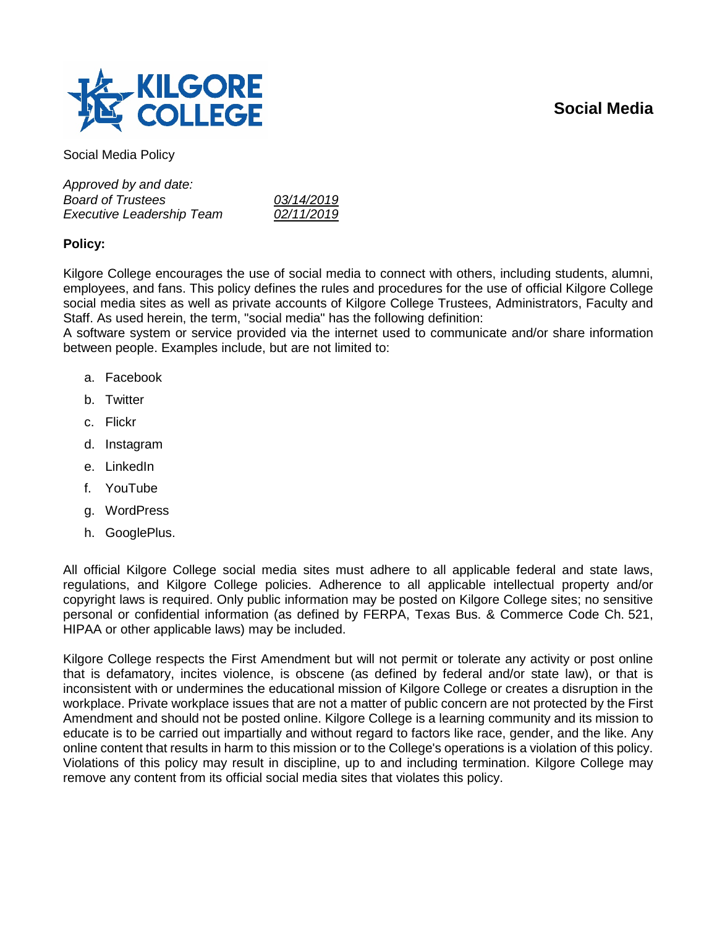# **Social Media**



Social Media Policy

*Approved by and date: Board of Trustees 03/14/2019 Executive Leadership Team 02/11/2019*

## **Policy:**

Kilgore College encourages the use of social media to connect with others, including students, alumni, employees, and fans. This policy defines the rules and procedures for the use of official Kilgore College social media sites as well as private accounts of Kilgore College Trustees, Administrators, Faculty and Staff. As used herein, the term, "social media" has the following definition:

A software system or service provided via the internet used to communicate and/or share information between people. Examples include, but are not limited to:

- a. Facebook
- b. Twitter
- c. Flickr
- d. Instagram
- e. LinkedIn
- f. YouTube
- g. WordPress
- h. GooglePlus.

All official Kilgore College social media sites must adhere to all applicable federal and state laws, regulations, and Kilgore College policies. Adherence to all applicable intellectual property and/or copyright laws is required. Only public information may be posted on Kilgore College sites; no sensitive personal or confidential information (as defined by FERPA, Texas Bus. & Commerce Code Ch. 521, HIPAA or other applicable laws) may be included.

Kilgore College respects the First Amendment but will not permit or tolerate any activity or post online that is defamatory, incites violence, is obscene (as defined by federal and/or state law), or that is inconsistent with or undermines the educational mission of Kilgore College or creates a disruption in the workplace. Private workplace issues that are not a matter of public concern are not protected by the First Amendment and should not be posted online. Kilgore College is a learning community and its mission to educate is to be carried out impartially and without regard to factors like race, gender, and the like. Any online content that results in harm to this mission or to the College's operations is a violation of this policy. Violations of this policy may result in discipline, up to and including termination. Kilgore College may remove any content from its official social media sites that violates this policy.